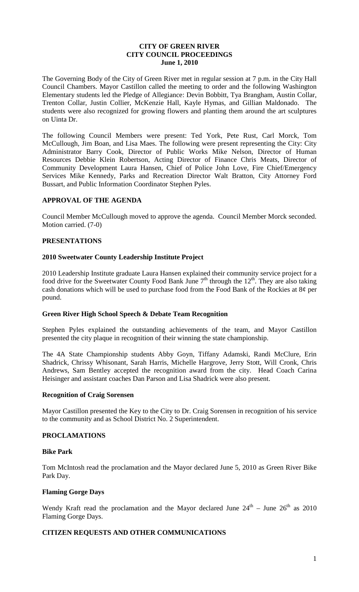## **CITY OF GREEN RIVER CITY COUNCIL PROCEEDINGS June 1, 2010**

The Governing Body of the City of Green River met in regular session at 7 p.m. in the City Hall Council Chambers. Mayor Castillon called the meeting to order and the following Washington Elementary students led the Pledge of Allegiance: Devin Bobbitt, Tya Brangham, Austin Collar, Trenton Collar, Justin Collier, McKenzie Hall, Kayle Hymas, and Gillian Maldonado. The students were also recognized for growing flowers and planting them around the art sculptures on Uinta Dr.

The following Council Members were present: Ted York, Pete Rust, Carl Morck, Tom McCullough, Jim Boan, and Lisa Maes. The following were present representing the City: City Administrator Barry Cook, Director of Public Works Mike Nelson, Director of Human Resources Debbie Klein Robertson, Acting Director of Finance Chris Meats, Director of Community Development Laura Hansen, Chief of Police John Love, Fire Chief/Emergency Services Mike Kennedy, Parks and Recreation Director Walt Bratton, City Attorney Ford Bussart, and Public Information Coordinator Stephen Pyles.

## **APPROVAL OF THE AGENDA**

Council Member McCullough moved to approve the agenda. Council Member Morck seconded. Motion carried. (7-0)

## **PRESENTATIONS**

#### **2010 Sweetwater County Leadership Institute Project**

2010 Leadership Institute graduate Laura Hansen explained their community service project for a food drive for the Sweetwater County Food Bank June  $7<sup>th</sup>$  through the 12<sup>th</sup>. They are also taking cash donations which will be used to purchase food from the Food Bank of the Rockies at 8¢ per pound.

#### **Green River High School Speech & Debate Team Recognition**

Stephen Pyles explained the outstanding achievements of the team, and Mayor Castillon presented the city plaque in recognition of their winning the state championship.

The 4A State Championship students Abby Goyn, Tiffany Adamski, Randi McClure, Erin Shadrick, Chrissy Whisonant, Sarah Harris, Michelle Hargrove, Jerry Stott, Will Cronk, Chris Andrews, Sam Bentley accepted the recognition award from the city. Head Coach Carina Heisinger and assistant coaches Dan Parson and Lisa Shadrick were also present.

#### **Recognition of Craig Sorensen**

Mayor Castillon presented the Key to the City to Dr. Craig Sorensen in recognition of his service to the community and as School District No. 2 Superintendent.

#### **PROCLAMATIONS**

#### **Bike Park**

Tom McIntosh read the proclamation and the Mayor declared June 5, 2010 as Green River Bike Park Day.

## **Flaming Gorge Days**

Wendy Kraft read the proclamation and the Mayor declared June  $24<sup>th</sup>$  – June  $26<sup>th</sup>$  as 2010 Flaming Gorge Days.

## **CITIZEN REQUESTS AND OTHER COMMUNICATIONS**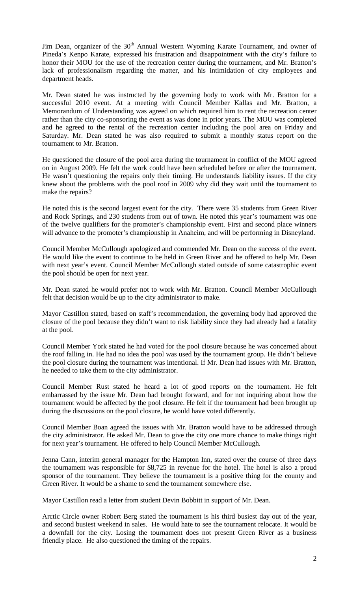Jim Dean, organizer of the 30<sup>th</sup> Annual Western Wyoming Karate Tournament, and owner of Pineda's Kenpo Karate, expressed his frustration and disappointment with the city's failure to honor their MOU for the use of the recreation center during the tournament, and Mr. Bratton's lack of professionalism regarding the matter, and his intimidation of city employees and department heads.

Mr. Dean stated he was instructed by the governing body to work with Mr. Bratton for a successful 2010 event. At a meeting with Council Member Kallas and Mr. Bratton, a Memorandum of Understanding was agreed on which required him to rent the recreation center rather than the city co-sponsoring the event as was done in prior years. The MOU was completed and he agreed to the rental of the recreation center including the pool area on Friday and Saturday. Mr. Dean stated he was also required to submit a monthly status report on the tournament to Mr. Bratton.

He questioned the closure of the pool area during the tournament in conflict of the MOU agreed on in August 2009. He felt the work could have been scheduled before or after the tournament. He wasn't questioning the repairs only their timing. He understands liability issues. If the city knew about the problems with the pool roof in 2009 why did they wait until the tournament to make the repairs?

He noted this is the second largest event for the city. There were 35 students from Green River and Rock Springs, and 230 students from out of town. He noted this year's tournament was one of the twelve qualifiers for the promoter's championship event. First and second place winners will advance to the promoter's championship in Anaheim, and will be performing in Disneyland.

Council Member McCullough apologized and commended Mr. Dean on the success of the event. He would like the event to continue to be held in Green River and he offered to help Mr. Dean with next year's event. Council Member McCullough stated outside of some catastrophic event the pool should be open for next year.

Mr. Dean stated he would prefer not to work with Mr. Bratton. Council Member McCullough felt that decision would be up to the city administrator to make.

Mayor Castillon stated, based on staff's recommendation, the governing body had approved the closure of the pool because they didn't want to risk liability since they had already had a fatality at the pool.

Council Member York stated he had voted for the pool closure because he was concerned about the roof falling in. He had no idea the pool was used by the tournament group. He didn't believe the pool closure during the tournament was intentional. If Mr. Dean had issues with Mr. Bratton, he needed to take them to the city administrator.

Council Member Rust stated he heard a lot of good reports on the tournament. He felt embarrassed by the issue Mr. Dean had brought forward, and for not inquiring about how the tournament would be affected by the pool closure. He felt if the tournament had been brought up during the discussions on the pool closure, he would have voted differently.

Council Member Boan agreed the issues with Mr. Bratton would have to be addressed through the city administrator. He asked Mr. Dean to give the city one more chance to make things right for next year's tournament. He offered to help Council Member McCullough.

Jenna Cann, interim general manager for the Hampton Inn, stated over the course of three days the tournament was responsible for \$8,725 in revenue for the hotel. The hotel is also a proud sponsor of the tournament. They believe the tournament is a positive thing for the county and Green River. It would be a shame to send the tournament somewhere else.

Mayor Castillon read a letter from student Devin Bobbitt in support of Mr. Dean.

Arctic Circle owner Robert Berg stated the tournament is his third busiest day out of the year, and second busiest weekend in sales. He would hate to see the tournament relocate. It would be a downfall for the city. Losing the tournament does not present Green River as a business friendly place. He also questioned the timing of the repairs.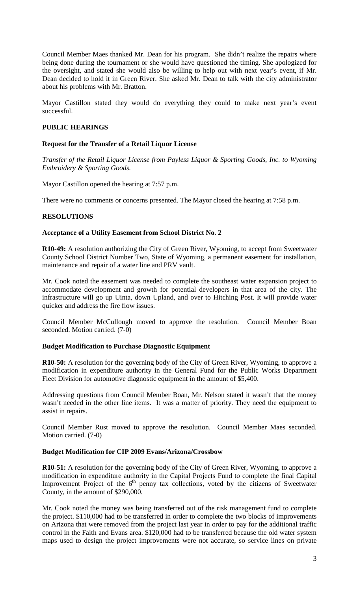Council Member Maes thanked Mr. Dean for his program. She didn't realize the repairs where being done during the tournament or she would have questioned the timing. She apologized for the oversight, and stated she would also be willing to help out with next year's event, if Mr. Dean decided to hold it in Green River. She asked Mr. Dean to talk with the city administrator about his problems with Mr. Bratton.

Mayor Castillon stated they would do everything they could to make next year's event successful.

## **PUBLIC HEARINGS**

## **Request for the Transfer of a Retail Liquor License**

*Transfer of the Retail Liquor License from Payless Liquor & Sporting Goods, Inc. to Wyoming Embroidery & Sporting Goods.*

Mayor Castillon opened the hearing at 7:57 p.m.

There were no comments or concerns presented. The Mayor closed the hearing at 7:58 p.m.

#### **RESOLUTIONS**

#### **Acceptance of a Utility Easement from School District No. 2**

**R10-49:** A resolution authorizing the City of Green River, Wyoming, to accept from Sweetwater County School District Number Two, State of Wyoming, a permanent easement for installation, maintenance and repair of a water line and PRV vault.

Mr. Cook noted the easement was needed to complete the southeast water expansion project to accommodate development and growth for potential developers in that area of the city. The infrastructure will go up Uinta, down Upland, and over to Hitching Post. It will provide water quicker and address the fire flow issues.

Council Member McCullough moved to approve the resolution. Council Member Boan seconded. Motion carried. (7-0)

#### **Budget Modification to Purchase Diagnostic Equipment**

**R10-50:** A resolution for the governing body of the City of Green River, Wyoming, to approve a modification in expenditure authority in the General Fund for the Public Works Department Fleet Division for automotive diagnostic equipment in the amount of \$5,400.

Addressing questions from Council Member Boan, Mr. Nelson stated it wasn't that the money wasn't needed in the other line items. It was a matter of priority. They need the equipment to assist in repairs.

Council Member Rust moved to approve the resolution. Council Member Maes seconded. Motion carried. (7-0)

#### **Budget Modification for CIP 2009 Evans/Arizona/Crossbow**

**R10-51:** A resolution for the governing body of the City of Green River, Wyoming, to approve a modification in expenditure authority in the Capital Projects Fund to complete the final Capital Improvement Project of the  $6<sup>th</sup>$  penny tax collections, voted by the citizens of Sweetwater County, in the amount of \$290,000.

Mr. Cook noted the money was being transferred out of the risk management fund to complete the project. \$110,000 had to be transferred in order to complete the two blocks of improvements on Arizona that were removed from the project last year in order to pay for the additional traffic control in the Faith and Evans area. \$120,000 had to be transferred because the old water system maps used to design the project improvements were not accurate, so service lines on private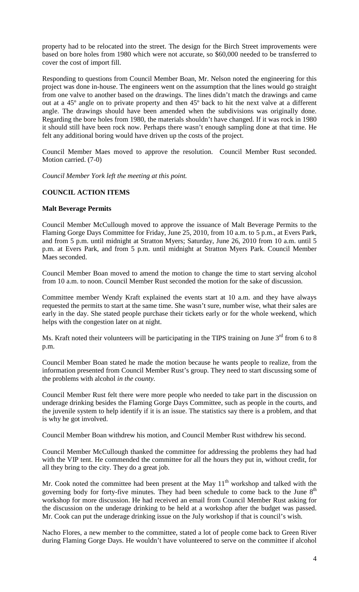property had to be relocated into the street. The design for the Birch Street improvements were based on bore holes from 1980 which were not accurate, so \$60,000 needed to be transferred to cover the cost of import fill.

Responding to questions from Council Member Boan, Mr. Nelson noted the engineering for this project was done in-house. The engineers went on the assumption that the lines would go straight from one valve to another based on the drawings. The lines didn't match the drawings and came out at a 45º angle on to private property and then 45º back to hit the next valve at a different angle. The drawings should have been amended when the subdivisions was originally done. Regarding the bore holes from 1980, the materials shouldn't have changed. If it was rock in 1980 it should still have been rock now. Perhaps there wasn't enough sampling done at that time. He felt any additional boring would have driven up the costs of the project.

Council Member Maes moved to approve the resolution. Council Member Rust seconded. Motion carried. (7-0)

*Council Member York left the meeting at this point.*

## **COUNCIL ACTION ITEMS**

## **Malt Beverage Permits**

Council Member McCullough moved to approve the issuance of Malt Beverage Permits to the Flaming Gorge Days Committee for Friday, June 25, 2010, from 10 a.m. to 5 p.m., at Evers Park, and from 5 p.m. until midnight at Stratton Myers; Saturday, June 26, 2010 from 10 a.m. until 5 p.m. at Evers Park, and from 5 p.m. until midnight at Stratton Myers Park. Council Member Maes seconded.

Council Member Boan moved to amend the motion to change the time to start serving alcohol from 10 a.m. to noon. Council Member Rust seconded the motion for the sake of discussion.

Committee member Wendy Kraft explained the events start at 10 a.m. and they have always requested the permits to start at the same time. She wasn't sure, number wise, what their sales are early in the day. She stated people purchase their tickets early or for the whole weekend, which helps with the congestion later on at night.

Ms. Kraft noted their volunteers will be participating in the TIPS training on June 3<sup>rd</sup> from 6 to 8 p.m.

Council Member Boan stated he made the motion because he wants people to realize, from the information presented from Council Member Rust's group. They need to start discussing some of the problems with alcohol *in the county.*

Council Member Rust felt there were more people who needed to take part in the discussion on underage drinking besides the Flaming Gorge Days Committee, such as people in the courts, and the juvenile system to help identify if it is an issue. The statistics say there is a problem, and that is why he got involved.

Council Member Boan withdrew his motion, and Council Member Rust withdrew his second.

Council Member McCullough thanked the committee for addressing the problems they had had with the VIP tent. He commended the committee for all the hours they put in, without credit, for all they bring to the city. They do a great job.

Mr. Cook noted the committee had been present at the May  $11<sup>th</sup>$  workshop and talked with the governing body for forty-five minutes. They had been schedule to come back to the June  $8<sup>th</sup>$ workshop for more discussion. He had received an email from Council Member Rust asking for the discussion on the underage drinking to be held at a workshop after the budget was passed. Mr. Cook can put the underage drinking issue on the July workshop if that is council's wish.

Nacho Flores, a new member to the committee, stated a lot of people come back to Green River during Flaming Gorge Days. He wouldn't have volunteered to serve on the committee if alcohol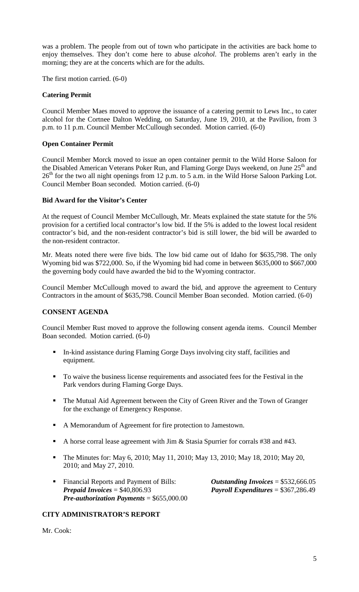was a problem. The people from out of town who participate in the activities are back home to enjoy themselves. They don't come here to abuse *alcohol*. The problems aren't early in the morning; they are at the concerts which are for the adults.

The first motion carried. (6-0)

### **Catering Permit**

Council Member Maes moved to approve the issuance of a catering permit to Lews Inc., to cater alcohol for the Cortnee Dalton Wedding, on Saturday, June 19, 2010, at the Pavilion, from 3 p.m. to 11 p.m. Council Member McCullough seconded. Motion carried. (6-0)

### **Open Container Permit**

Council Member Morck moved to issue an open container permit to the Wild Horse Saloon for the Disabled American Veterans Poker Run, and Flaming Gorge Days weekend, on June 25<sup>th</sup> and  $26<sup>th</sup>$  for the two all night openings from 12 p.m. to 5 a.m. in the Wild Horse Saloon Parking Lot. Council Member Boan seconded. Motion carried. (6-0)

## **Bid Award for the Visitor's Center**

At the request of Council Member McCullough, Mr. Meats explained the state statute for the 5% provision for a certified local contractor's low bid. If the 5% is added to the lowest local resident contractor's bid, and the non-resident contractor's bid is still lower, the bid will be awarded to the non-resident contractor.

Mr. Meats noted there were five bids. The low bid came out of Idaho for \$635,798. The only Wyoming bid was \$722,000. So, if the Wyoming bid had come in between \$635,000 to \$667,000 the governing body could have awarded the bid to the Wyoming contractor.

Council Member McCullough moved to award the bid, and approve the agreement to Century Contractors in the amount of \$635,798. Council Member Boan seconded. Motion carried. (6-0)

## **CONSENT AGENDA**

Council Member Rust moved to approve the following consent agenda items. Council Member Boan seconded. Motion carried. (6-0)

- In-kind assistance during Flaming Gorge Days involving city staff, facilities and equipment.
- To waive the business license requirements and associated fees for the Festival in the Park vendors during Flaming Gorge Days.
- The Mutual Aid Agreement between the City of Green River and the Town of Granger for the exchange of Emergency Response.
- A Memorandum of Agreement for fire protection to Jamestown.
- A horse corral lease agreement with Jim & Stasia Spurrier for corrals  $#38$  and  $#43$ .
- The Minutes for: May 6, 2010; May 11, 2010; May 13, 2010; May 18, 2010; May 20, 2010; and May 27, 2010.
- Financial Reports and Payment of Bills: *Outstanding Invoices* = \$532,666.05 *Prepaid Invoices* = \$40,806.93 *Payroll Expenditures* = \$367,286.49 *Pre-authorization Payments* = \$655,000.00

## **CITY ADMINISTRATOR'S REPORT**

Mr. Cook: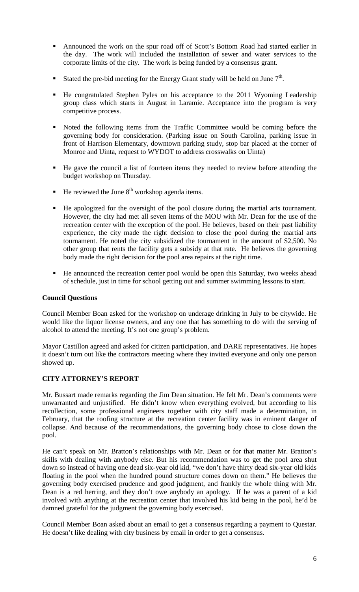- Announced the work on the spur road off of Scott's Bottom Road had started earlier in the day. The work will included the installation of sewer and water services to the corporate limits of the city. The work is being funded by a consensus grant.
- Stated the pre-bid meeting for the Energy Grant study will be held on June  $7<sup>th</sup>$ .
- He congratulated Stephen Pyles on his acceptance to the 2011 Wyoming Leadership group class which starts in August in Laramie. Acceptance into the program is very competitive process.
- Noted the following items from the Traffic Committee would be coming before the governing body for consideration. (Parking issue on South Carolina, parking issue in front of Harrison Elementary, downtown parking study, stop bar placed at the corner of Monroe and Uinta, request to WYDOT to address crosswalks on Uinta)
- He gave the council a list of fourteen items they needed to review before attending the budget workshop on Thursday.
- $\blacksquare$  He reviewed the June  $8<sup>th</sup>$  workshop agenda items.
- He apologized for the oversight of the pool closure during the martial arts tournament. However, the city had met all seven items of the MOU with Mr. Dean for the use of the recreation center with the exception of the pool. He believes, based on their past liability experience, the city made the right decision to close the pool during the martial arts tournament. He noted the city subsidized the tournament in the amount of \$2,500. No other group that rents the facility gets a subsidy at that rate. He believes the governing body made the right decision for the pool area repairs at the right time.
- He announced the recreation center pool would be open this Saturday, two weeks ahead of schedule, just in time for school getting out and summer swimming lessons to start.

## **Council Questions**

Council Member Boan asked for the workshop on underage drinking in July to be citywide. He would like the liquor license owners, and any one that has something to do with the serving of alcohol to attend the meeting. It's not one group's problem.

Mayor Castillon agreed and asked for citizen participation, and DARE representatives. He hopes it doesn't turn out like the contractors meeting where they invited everyone and only one person showed up.

## **CITY ATTORNEY'S REPORT**

Mr. Bussart made remarks regarding the Jim Dean situation. He felt Mr. Dean's comments were unwarranted and unjustified. He didn't know when everything evolved, but according to his recollection, some professional engineers together with city staff made a determination, in February, that the roofing structure at the recreation center facility was in eminent danger of collapse. And because of the recommendations, the governing body chose to close down the pool.

He can't speak on Mr. Bratton's relationships with Mr. Dean or for that matter Mr. Bratton's skills with dealing with anybody else. But his recommendation was to get the pool area shut down so instead of having one dead six-year old kid, "we don't have thirty dead six-year old kids floating in the pool when the hundred pound structure comes down on them." He believes the governing body exercised prudence and good judgment, and frankly the whole thing with Mr. Dean is a red herring, and they don't owe anybody an apology. If he was a parent of a kid involved with anything at the recreation center that involved his kid being in the pool, he'd be damned grateful for the judgment the governing body exercised.

Council Member Boan asked about an email to get a consensus regarding a payment to Questar. He doesn't like dealing with city business by email in order to get a consensus.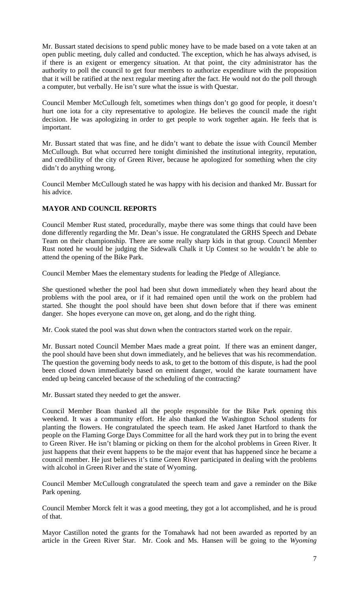Mr. Bussart stated decisions to spend public money have to be made based on a vote taken at an open public meeting, duly called and conducted. The exception, which he has always advised, is if there is an exigent or emergency situation. At that point, the city administrator has the authority to poll the council to get four members to authorize expenditure with the proposition that it will be ratified at the next regular meeting after the fact. He would not do the poll through a computer, but verbally. He isn't sure what the issue is with Questar.

Council Member McCullough felt, sometimes when things don't go good for people, it doesn't hurt one iota for a city representative to apologize. He believes the council made the right decision. He was apologizing in order to get people to work together again. He feels that is important.

Mr. Bussart stated that was fine, and he didn't want to debate the issue with Council Member McCullough. But what occurred here tonight diminished the institutional integrity, reputation, and credibility of the city of Green River, because he apologized for something when the city didn't do anything wrong.

Council Member McCullough stated he was happy with his decision and thanked Mr. Bussart for his advice.

# **MAYOR AND COUNCIL REPORTS**

Council Member Rust stated, procedurally, maybe there was some things that could have been done differently regarding the Mr. Dean's issue. He congratulated the GRHS Speech and Debate Team on their championship. There are some really sharp kids in that group. Council Member Rust noted he would be judging the Sidewalk Chalk it Up Contest so he wouldn't be able to attend the opening of the Bike Park.

Council Member Maes the elementary students for leading the Pledge of Allegiance.

She questioned whether the pool had been shut down immediately when they heard about the problems with the pool area, or if it had remained open until the work on the problem had started. She thought the pool should have been shut down before that if there was eminent danger. She hopes everyone can move on, get along, and do the right thing.

Mr. Cook stated the pool was shut down when the contractors started work on the repair.

Mr. Bussart noted Council Member Maes made a great point. If there was an eminent danger, the pool should have been shut down immediately, and he believes that was his recommendation. The question the governing body needs to ask, to get to the bottom of this dispute, is had the pool been closed down immediately based on eminent danger, would the karate tournament have ended up being canceled because of the scheduling of the contracting?

Mr. Bussart stated they needed to get the answer.

Council Member Boan thanked all the people responsible for the Bike Park opening this weekend. It was a community effort. He also thanked the Washington School students for planting the flowers. He congratulated the speech team. He asked Janet Hartford to thank the people on the Flaming Gorge Days Committee for all the hard work they put in to bring the event to Green River. He isn't blaming or picking on them for the alcohol problems in Green River. It just happens that their event happens to be the major event that has happened since he became a council member. He just believes it's time Green River participated in dealing with the problems with alcohol in Green River and the state of Wyoming.

Council Member McCullough congratulated the speech team and gave a reminder on the Bike Park opening.

Council Member Morck felt it was a good meeting, they got a lot accomplished, and he is proud of that.

Mayor Castillon noted the grants for the Tomahawk had not been awarded as reported by an article in the Green River Star. Mr. Cook and Ms. Hansen will be going to the *Wyoming*